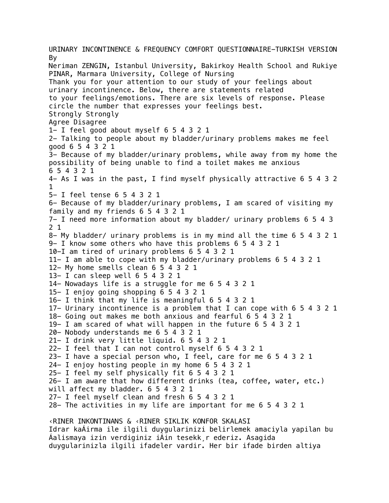URINARY INCONTINENCE & FREQUENCY COMFORT QUESTIONNAIRE-TURKISH VERSION By Neriman ZENGIN, Istanbul University, Bakirkoy Health School and Rukiye PINAR, Marmara University, College of Nursing Thank you for your attention to our study of your feelings about urinary incontinence. Below, there are statements related to your feelings/emotions. There are six levels of response. Please circle the number that expresses your feelings best. Strongly Strongly Agree Disagree 1- I feel good about myself 6 5 4 3 2 1 2- Talking to people about my bladder/urinary problems makes me feel good 6 5 4 3 2 1 3- Because of my bladder/urinary problems, while away from my home the possibility of being unable to find a toilet makes me anxious 6 5 4 3 2 1 4- As I was in the past, I find myself physically attractive 6 5 4 3 2 1 5- I feel tense 6 5 4 3 2 1 6- Because of my bladder/urinary problems, I am scared of visiting my family and my friends 6 5 4 3 2 1 7- I need more information about my bladder/ urinary problems 6 5 4 3 2 1 8- My bladder/ urinary problems is in my mind all the time 6 5 4 3 2 1 9- I know some others who have this problems 6 5 4 3 2 1 10-I am tired of urinary problems 6 5 4 3 2 1 11- I am able to cope with my bladder/urinary problems 6 5 4 3 2 1 12- My home smells clean 6 5 4 3 2 1 13- I can sleep well 6 5 4 3 2 1 14- Nowadays life is a struggle for me 6 5 4 3 2 1 15- I enjoy going shopping 6 5 4 3 2 1 16- I think that my life is meaningful 6 5 4 3 2 1 17- Urinary incontinence is a problem that I can cope with 6 5 4 3 2 1 18- Going out makes me both anxious and fearful 6 5 4 3 2 1 19- I am scared of what will happen in the future 6 5 4 3 2 1 20- Nobody understands me 6 5 4 3 2 1 21- I drink very little liquid. 6 5 4 3 2 1 22- I feel that I can not control myself 6 5 4 3 2 1 23- I have a special person who, I feel, care for me 6 5 4 3 2 1 24- I enjoy hosting people in my home 6 5 4 3 2 1 25- I feel my self physically fit 6 5 4 3 2 1 26- I am aware that how different drinks (tea, coffee, water, etc.) will affect my bladder. 6 5 4 3 2 1 27- I feel myself clean and fresh 6 5 4 3 2 1 28- The activities in my life are important for me 6 5 4 3 2 1 ‹RINER INKONTINANS & ‹RINER SIKLIK KONFOR SKALASI Idrar kaÁirma ile ilgili duygularinizi belirlemek amaciyla yapilan bu Áalismaya izin verdiginiz iÁin tesekk¸r ederiz. Asagida

duygularinizla ilgili ifadeler vardir. Her bir ifade birden altiya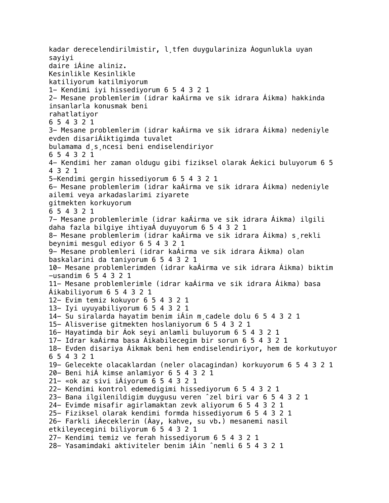kadar derecelendirilmistir, l¸tfen duygulariniza Áogunlukla uyan sayiyi daire iÁine aliniz. Kesinlikle Kesinlikle katiliyorum katilmiyorum 1- Kendimi iyi hissediyorum 6 5 4 3 2 1 2- Mesane problemlerim (idrar kaÁirma ve sik idrara Áikma) hakkinda insanlarla konusmak beni rahatlatiyor 6 5 4 3 2 1 3- Mesane problemlerim (idrar kaÁirma ve sik idrara Áikma) nedeniyle evden disariÁiktigimda tuvalet bulamama d¸s¸ncesi beni endiselendiriyor 6 5 4 3 2 1 4- Kendimi her zaman oldugu gibi fiziksel olarak Áekici buluyorum 6 5 4 3 2 1 5-Kendimi gergin hissediyorum 6 5 4 3 2 1 6- Mesane problemlerim (idrar kaÁirma ve sik idrara Áikma) nedeniyle ailemi veya arkadaslarimi ziyarete gitmekten korkuyorum 6 5 4 3 2 1 7- Mesane problemlerimle (idrar kaÁirma ve sik idrara Áikma) ilgili daha fazla bilgiye ihtiyaÁ duyuyorum 6 5 4 3 2 1 8- Mesane problemlerim (idrar kaÁirma ve sik idrara Áikma) s¸rekli beynimi mesgul ediyor 6 5 4 3 2 1 9- Mesane problemleri (idrar kaÁirma ve sik idrara Áikma) olan baskalarini da taniyorum 6 5 4 3 2 1 10- Mesane problemlerimden (idrar kaÁirma ve sik idrara Áikma) biktim -usandim 6 5 4 3 2 1 11- Mesane problemlerimle (idrar kaÁirma ve sik idrara Áikma) basa Áikabiliyorum 6 5 4 3 2 1 12- Evim temiz kokuyor 6 5 4 3 2 1 13- Iyi uyuyabiliyorum 6 5 4 3 2 1 14- Su siralarda hayatim benim iÁin m¸cadele dolu 6 5 4 3 2 1 15- Alisverise gitmekten hoslaniyorum 6 5 4 3 2 1 16- Hayatimda bir Áok seyi anlamli buluyorum 6 5 4 3 2 1 17- Idrar kaÁirma basa Áikabilecegim bir sorun 6 5 4 3 2 1 18- Evden disariya Áikmak beni hem endiselendiriyor, hem de korkutuyor 6 5 4 3 2 1 19- Gelecekte olacaklardan (neler olacagindan) korkuyorum 6 5 4 3 2 1 20- Beni hiÁ kimse anlamiyor 6 5 4 3 2 1 21- «ok az sivi iÁiyorum 6 5 4 3 2 1 22- Kendimi kontrol edemedigimi hissediyorum 6 5 4 3 2 1 23- Bana ilgilenildigim duygusu veren ˆzel biri var 6 5 4 3 2 1 24- Evimde misafir agirlamaktan zevk aliyorum 6 5 4 3 2 1 25- Fiziksel olarak kendimi formda hissediyorum 6 5 4 3 2 1 26- Farkli iÁeceklerin (Áay, kahve, su vb.) mesanemi nasil etkileyecegini biliyorum 6 5 4 3 2 1 27- Kendimi temiz ve ferah hissediyorum 6 5 4 3 2 1 28- Yasamimdaki aktiviteler benim iÁin ˆnemli 6 5 4 3 2 1